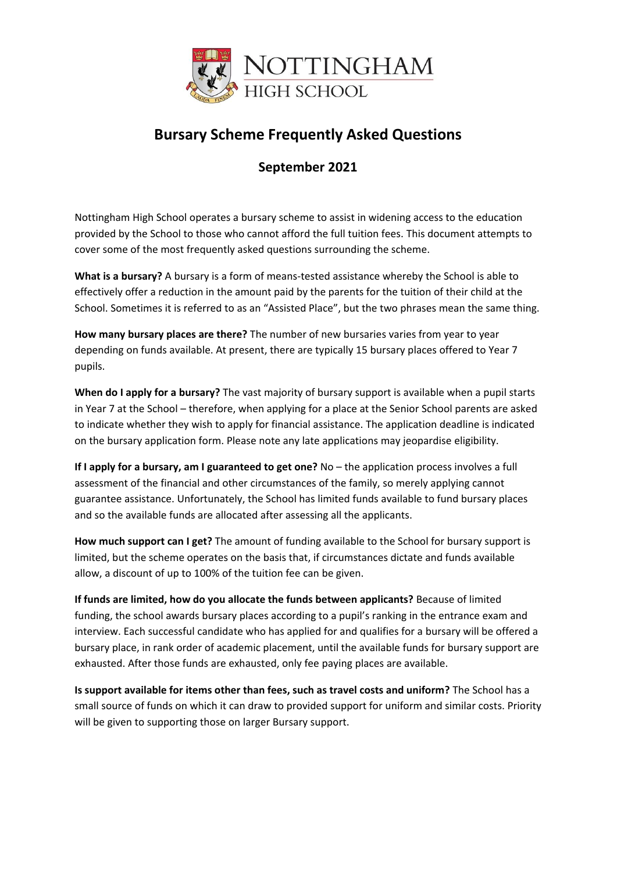

## **Bursary Scheme Frequently Asked Questions**

## **September 2021**

Nottingham High School operates a bursary scheme to assist in widening access to the education provided by the School to those who cannot afford the full tuition fees. This document attempts to cover some of the most frequently asked questions surrounding the scheme.

**What is a bursary?** A bursary is a form of means-tested assistance whereby the School is able to effectively offer a reduction in the amount paid by the parents for the tuition of their child at the School. Sometimes it is referred to as an "Assisted Place", but the two phrases mean the same thing.

**How many bursary places are there?** The number of new bursaries varies from year to year depending on funds available. At present, there are typically 15 bursary places offered to Year 7 pupils.

**When do I apply for a bursary?** The vast majority of bursary support is available when a pupil starts in Year 7 at the School – therefore, when applying for a place at the Senior School parents are asked to indicate whether they wish to apply for financial assistance. The application deadline is indicated on the bursary application form. Please note any late applications may jeopardise eligibility.

**If I apply for a bursary, am I guaranteed to get one?** No – the application process involves a full assessment of the financial and other circumstances of the family, so merely applying cannot guarantee assistance. Unfortunately, the School has limited funds available to fund bursary places and so the available funds are allocated after assessing all the applicants.

**How much support can I get?** The amount of funding available to the School for bursary support is limited, but the scheme operates on the basis that, if circumstances dictate and funds available allow, a discount of up to 100% of the tuition fee can be given.

**If funds are limited, how do you allocate the funds between applicants?** Because of limited funding, the school awards bursary places according to a pupil's ranking in the entrance exam and interview. Each successful candidate who has applied for and qualifies for a bursary will be offered a bursary place, in rank order of academic placement, until the available funds for bursary support are exhausted. After those funds are exhausted, only fee paying places are available.

**Is support available for items other than fees, such as travel costs and uniform?** The School has a small source of funds on which it can draw to provided support for uniform and similar costs. Priority will be given to supporting those on larger Bursary support.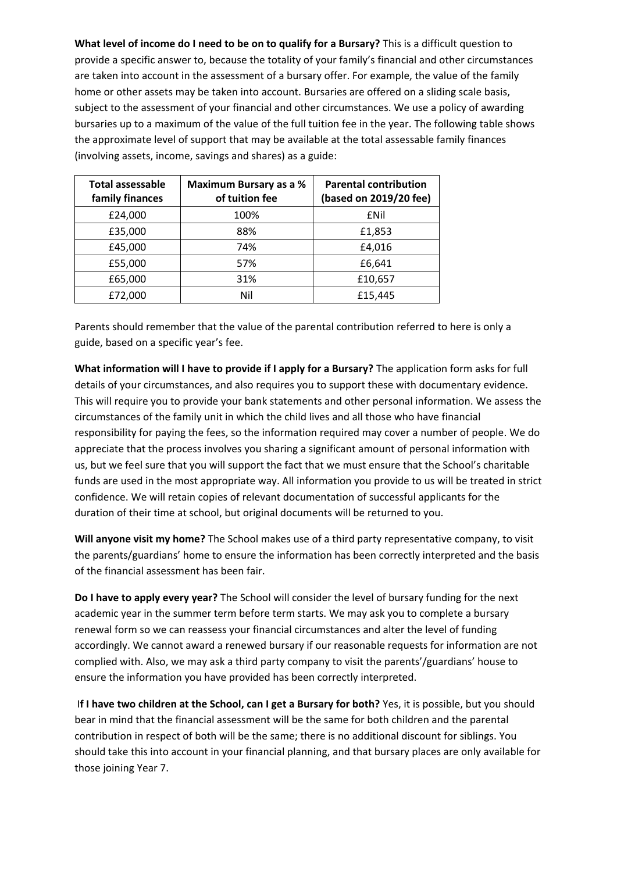**What level of income do I need to be on to qualify for a Bursary?** This is a difficult question to provide a specific answer to, because the totality of your family's financial and other circumstances are taken into account in the assessment of a bursary offer. For example, the value of the family home or other assets may be taken into account. Bursaries are offered on a sliding scale basis, subject to the assessment of your financial and other circumstances. We use a policy of awarding bursaries up to a maximum of the value of the full tuition fee in the year. The following table shows the approximate level of support that may be available at the total assessable family finances (involving assets, income, savings and shares) as a guide:

| <b>Total assessable</b><br>family finances | Maximum Bursary as a %<br>of tuition fee | <b>Parental contribution</b><br>(based on 2019/20 fee) |
|--------------------------------------------|------------------------------------------|--------------------------------------------------------|
| £24,000                                    | 100%                                     | £Nil                                                   |
| £35,000                                    | 88%                                      | £1,853                                                 |
| £45,000                                    | 74%                                      | £4,016                                                 |
| £55,000                                    | 57%                                      | £6,641                                                 |
| £65,000                                    | 31%                                      | £10,657                                                |
| £72,000                                    | Nil                                      | £15,445                                                |

Parents should remember that the value of the parental contribution referred to here is only a guide, based on a specific year's fee.

**What information will I have to provide if I apply for a Bursary?** The application form asks for full details of your circumstances, and also requires you to support these with documentary evidence. This will require you to provide your bank statements and other personal information. We assess the circumstances of the family unit in which the child lives and all those who have financial responsibility for paying the fees, so the information required may cover a number of people. We do appreciate that the process involves you sharing a significant amount of personal information with us, but we feel sure that you will support the fact that we must ensure that the School's charitable funds are used in the most appropriate way. All information you provide to us will be treated in strict confidence. We will retain copies of relevant documentation of successful applicants for the duration of their time at school, but original documents will be returned to you.

**Will anyone visit my home?** The School makes use of a third party representative company, to visit the parents/guardians' home to ensure the information has been correctly interpreted and the basis of the financial assessment has been fair.

**Do I have to apply every year?** The School will consider the level of bursary funding for the next academic year in the summer term before term starts. We may ask you to complete a bursary renewal form so we can reassess your financial circumstances and alter the level of funding accordingly. We cannot award a renewed bursary if our reasonable requests for information are not complied with. Also, we may ask a third party company to visit the parents'/guardians' house to ensure the information you have provided has been correctly interpreted.

I**f I have two children at the School, can I get a Bursary for both?** Yes, it is possible, but you should bear in mind that the financial assessment will be the same for both children and the parental contribution in respect of both will be the same; there is no additional discount for siblings. You should take this into account in your financial planning, and that bursary places are only available for those joining Year 7.